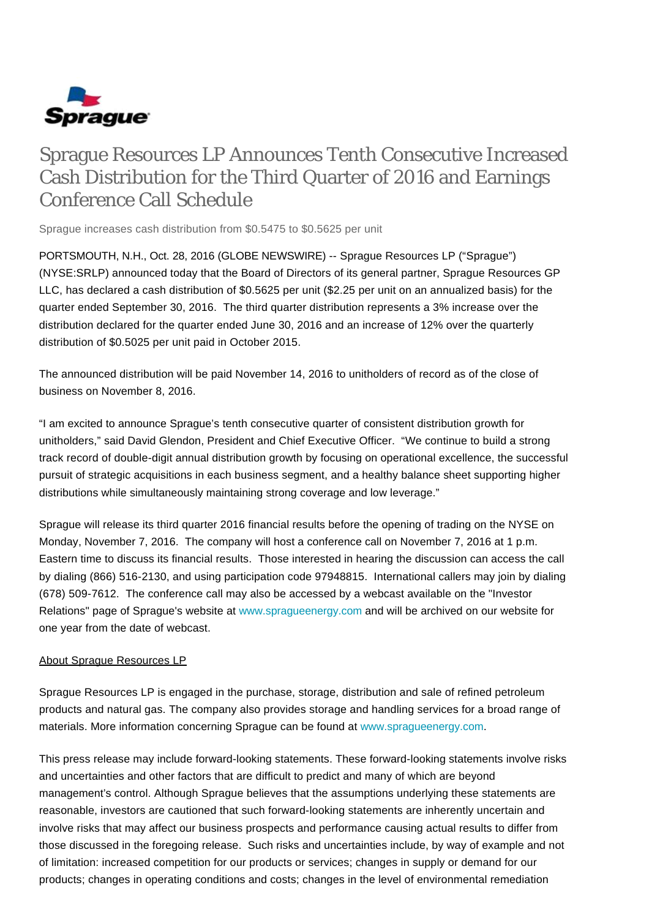

## Sprague Resources LP Announces Tenth Consecutive Increased Cash Distribution for the Third Quarter of 2016 and Earnings Conference Call Schedule

Sprague increases cash distribution from \$0.5475 to \$0.5625 per unit

PORTSMOUTH, N.H., Oct. 28, 2016 (GLOBE NEWSWIRE) -- Sprague Resources LP ("Sprague") (NYSE:SRLP) announced today that the Board of Directors of its general partner, Sprague Resources GP LLC, has declared a cash distribution of \$0.5625 per unit (\$2.25 per unit on an annualized basis) for the quarter ended September 30, 2016. The third quarter distribution represents a 3% increase over the distribution declared for the quarter ended June 30, 2016 and an increase of 12% over the quarterly distribution of \$0.5025 per unit paid in October 2015.

The announced distribution will be paid November 14, 2016 to unitholders of record as of the close of business on November 8, 2016.

"I am excited to announce Sprague's tenth consecutive quarter of consistent distribution growth for unitholders," said David Glendon, President and Chief Executive Officer. "We continue to build a strong track record of double-digit annual distribution growth by focusing on operational excellence, the successful pursuit of strategic acquisitions in each business segment, and a healthy balance sheet supporting higher distributions while simultaneously maintaining strong coverage and low leverage."

Sprague will release its third quarter 2016 financial results before the opening of trading on the NYSE on Monday, November 7, 2016. The company will host a conference call on November 7, 2016 at 1 p.m. Eastern time to discuss its financial results. Those interested in hearing the discussion can access the call by dialing (866) 516-2130, and using participation code 97948815. International callers may join by dialing (678) 509-7612. The conference call may also be accessed by a webcast available on the "Investor Relations" page of Sprague's website at [www.spragueenergy.com](http://www.spragueenergy.com/) and will be archived on our website for one year from the date of webcast.

## About Sprague Resources LP

Sprague Resources LP is engaged in the purchase, storage, distribution and sale of refined petroleum products and natural gas. The company also provides storage and handling services for a broad range of materials. More information concerning Sprague can be found at [www.spragueenergy.com](http://www.spragueenergy.com/).

This press release may include forward-looking statements. These forward-looking statements involve risks and uncertainties and other factors that are difficult to predict and many of which are beyond management's control. Although Sprague believes that the assumptions underlying these statements are reasonable, investors are cautioned that such forward-looking statements are inherently uncertain and involve risks that may affect our business prospects and performance causing actual results to differ from those discussed in the foregoing release. Such risks and uncertainties include, by way of example and not of limitation: increased competition for our products or services; changes in supply or demand for our products; changes in operating conditions and costs; changes in the level of environmental remediation